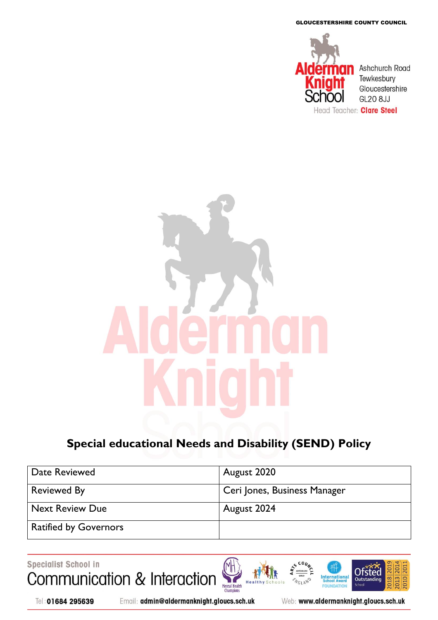GLOUCESTERSHIRE COUNTY COUNCIL



# **Special educational Needs and Disability (SEND) Policy**

| Date Reviewed                | August 2020                  |
|------------------------------|------------------------------|
| <b>Reviewed By</b>           | Ceri Jones, Business Manager |
| <b>Next Review Due</b>       | August 2024                  |
| <b>Ratified by Governors</b> |                              |

Specialist School in Communication & Interaction Mental Health<br>Champions

Tel: 01684 295639

Email: admin@aldermanknight.gloucs.sch.uk

Web: www.aldermanknight.gloucs.sch.uk

**International**<br>School Award

FOL **DATIO**   $20^{\circ}$ 

2018

1010

Ofsted

Outstand

e<sub>ch</sub>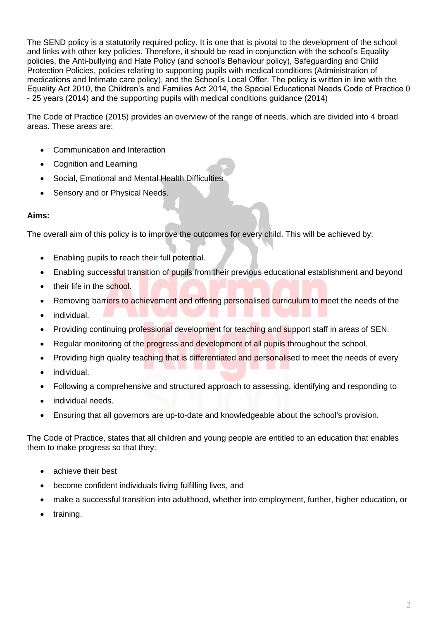The SEND policy is a statutorily required policy. It is one that is pivotal to the development of the school and links with other key policies. Therefore, it should be read in conjunction with the school's Equality policies, the Anti-bullying and Hate Policy (and school's Behaviour policy), Safeguarding and Child Protection Policies, policies relating to supporting pupils with medical conditions (Administration of medications and Intimate care policy), and the School's Local Offer. The policy is written in line with the Equality Act 2010, the Children's and Families Act 2014, the Special Educational Needs Code of Practice 0 - 25 years (2014) and the supporting pupils with medical conditions guidance (2014)

The Code of Practice (2015) provides an overview of the range of needs, which are divided into 4 broad areas. These areas are:

- Communication and Interaction
- Cognition and Learning
- Social, Emotional and Mental Health Difficulties
- Sensory and or Physical Needs.

### **Aims:**

The overall aim of this policy is to improve the outcomes for every child. This will be achieved by:

- Enabling pupils to reach their full potential.
- Enabling successful transition of pupils from their previous educational establishment and beyond
- their life in the school.
- Removing barriers to achievement and offering personalised curriculum to meet the needs of the
- individual.
- Providing continuing professional development for teaching and support staff in areas of SEN.
- Regular monitoring of the progress and development of all pupils throughout the school.
- Providing high quality teaching that is differentiated and personalised to meet the needs of every
- individual.
- Following a comprehensive and structured approach to assessing, identifying and responding to
- individual needs.
- Ensuring that all governors are up-to-date and knowledgeable about the school's provision.

The Code of Practice, states that all children and young people are entitled to an education that enables them to make progress so that they:

- achieve their best
- become confident individuals living fulfilling lives, and
- make a successful transition into adulthood, whether into employment, further, higher education, or
- training.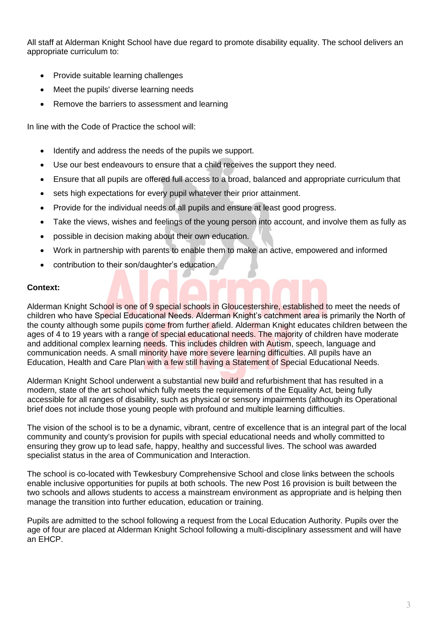All staff at Alderman Knight School have due regard to promote disability equality. The school delivers an appropriate curriculum to:

- Provide suitable learning challenges
- Meet the pupils' diverse learning needs
- Remove the barriers to assessment and learning

In line with the Code of Practice the school will:

- Identify and address the needs of the pupils we support.
- Use our best endeavours to ensure that a child receives the support they need.
- Ensure that all pupils are offered full access to a broad, balanced and appropriate curriculum that
- sets high expectations for every pupil whatever their prior attainment.
- Provide for the individual needs of all pupils and ensure at least good progress.
- Take the views, wishes and feelings of the young person into account, and involve them as fully as
- possible in decision making about their own education.
- Work in partnership with parents to enable them to make an active, empowered and informed
- contribution to their son/daughter's education.

#### **Context:**

Alderman Knight School is one of 9 special schools in Gloucestershire, established to meet the needs of children who have Special Educational Needs. Alderman Knight's catchment area is primarily the North of the county although some pupils come from further afield. Alderman Knight educates children between the ages of 4 to 19 years with a range of special educational needs. The majority of children have moderate and additional complex learning needs. This includes children with Autism, speech, language and communication needs. A small minority have more severe learning difficulties. All pupils have an Education, Health and Care Plan with a few still having a Statement of Special Educational Needs.

Alderman Knight School underwent a substantial new build and refurbishment that has resulted in a modern, state of the art school which fully meets the requirements of the Equality Act, being fully accessible for all ranges of disability, such as physical or sensory impairments (although its Operational brief does not include those young people with profound and multiple learning difficulties.

The vision of the school is to be a dynamic, vibrant, centre of excellence that is an integral part of the local community and county's provision for pupils with special educational needs and wholly committed to ensuring they grow up to lead safe, happy, healthy and successful lives. The school was awarded specialist status in the area of Communication and Interaction.

The school is co-located with Tewkesbury Comprehensive School and close links between the schools enable inclusive opportunities for pupils at both schools. The new Post 16 provision is built between the two schools and allows students to access a mainstream environment as appropriate and is helping then manage the transition into further education, education or training.

Pupils are admitted to the school following a request from the Local Education Authority. Pupils over the age of four are placed at Alderman Knight School following a multi-disciplinary assessment and will have an EHCP.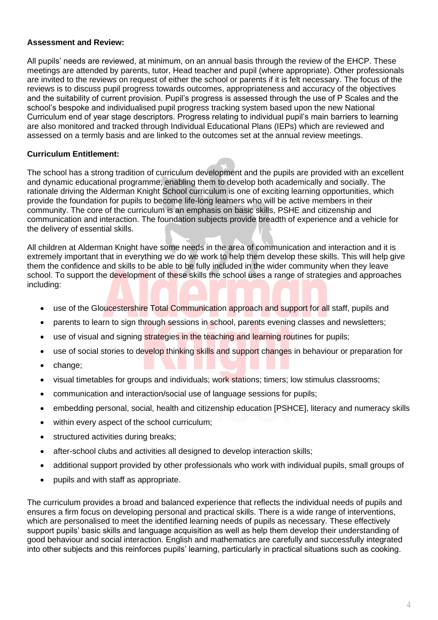#### **Assessment and Review:**

All pupils' needs are reviewed, at minimum, on an annual basis through the review of the EHCP. These meetings are attended by parents, tutor, Head teacher and pupil (where appropriate). Other professionals are invited to the reviews on request of either the school or parents if it is felt necessary. The focus of the reviews is to discuss pupil progress towards outcomes, appropriateness and accuracy of the objectives and the suitability of current provision. Pupil's progress is assessed through the use of P Scales and the school's bespoke and individualised pupil progress tracking system based upon the new National Curriculum end of year stage descriptors. Progress relating to individual pupil's main barriers to learning are also monitored and tracked through Individual Educational Plans (IEPs) which are reviewed and assessed on a termly basis and are linked to the outcomes set at the annual review meetings.

### **Curriculum Entitlement:**

The school has a strong tradition of curriculum development and the pupils are provided with an excellent and dynamic educational programme, enabling them to develop both academically and socially. The rationale driving the Alderman Knight School curriculum is one of exciting learning opportunities, which provide the foundation for pupils to become life-long learners who will be active members in their community. The core of the curriculum is an emphasis on basic skills, PSHE and citizenship and communication and interaction. The foundation subjects provide breadth of experience and a vehicle for the delivery of essential skills.

All children at Alderman Knight have some needs in the area of communication and interaction and it is extremely important that in everything we do we work to help them develop these skills. This will help give them the confidence and skills to be able to be fully included in the wider community when they leave school. To support the development of these skills the school uses a range of strategies and approaches including:

- use of the Gloucestershire Total Communication approach and support for all staff, pupils and
- parents to learn to sign through sessions in school, parents evening classes and newsletters;
- use of visual and signing strategies in the teaching and learning routines for pupils;
- use of social stories to develop thinking skills and support changes in behaviour or preparation for
- change;
- visual timetables for groups and individuals; work stations; timers; low stimulus classrooms;
- communication and interaction/social use of language sessions for pupils;
- embedding personal, social, health and citizenship education [PSHCE], literacy and numeracy skills
- within every aspect of the school curriculum;
- structured activities during breaks;
- after-school clubs and activities all designed to develop interaction skills;
- additional support provided by other professionals who work with individual pupils, small groups of
- pupils and with staff as appropriate.

The curriculum provides a broad and balanced experience that reflects the individual needs of pupils and ensures a firm focus on developing personal and practical skills. There is a wide range of interventions, which are personalised to meet the identified learning needs of pupils as necessary. These effectively support pupils' basic skills and language acquisition as well as help them develop their understanding of good behaviour and social interaction. English and mathematics are carefully and successfully integrated into other subjects and this reinforces pupils' learning, particularly in practical situations such as cooking.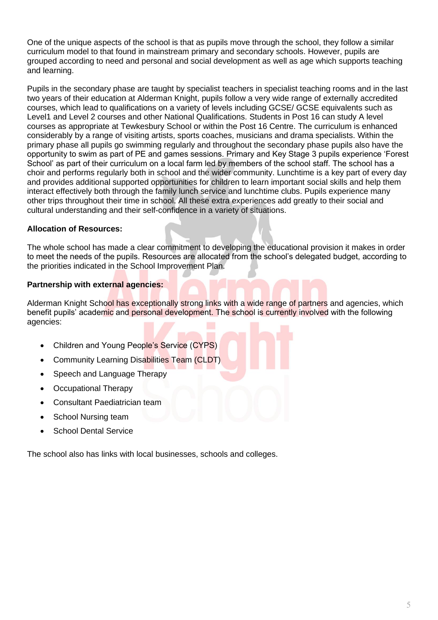One of the unique aspects of the school is that as pupils move through the school, they follow a similar curriculum model to that found in mainstream primary and secondary schools. However, pupils are grouped according to need and personal and social development as well as age which supports teaching and learning.

Pupils in the secondary phase are taught by specialist teachers in specialist teaching rooms and in the last two years of their education at Alderman Knight, pupils follow a very wide range of externally accredited courses, which lead to qualifications on a variety of levels including GCSE/ GCSE equivalents such as Level1 and Level 2 courses and other National Qualifications. Students in Post 16 can study A level courses as appropriate at Tewkesbury School or within the Post 16 Centre. The curriculum is enhanced considerably by a range of visiting artists, sports coaches, musicians and drama specialists. Within the primary phase all pupils go swimming regularly and throughout the secondary phase pupils also have the opportunity to swim as part of PE and games sessions. Primary and Key Stage 3 pupils experience 'Forest School' as part of their curriculum on a local farm led by members of the school staff. The school has a choir and performs regularly both in school and the wider community. Lunchtime is a key part of every day and provides additional supported opportunities for children to learn important social skills and help them interact effectively both through the family lunch service and lunchtime clubs. Pupils experience many other trips throughout their time in school. All these extra experiences add greatly to their social and cultural understanding and their self-confidence in a variety of situations.

## **Allocation of Resources:**

The whole school has made a clear commitment to developing the educational provision it makes in order to meet the needs of the pupils. Resources are allocated from the school's delegated budget, according to the priorities indicated in the School Improvement Plan.

### **Partnership with external agencies:**

Alderman Knight School has exceptionally strong links with a wide range of partners and agencies, which benefit pupils' academic and personal development. The school is currently involved with the following agencies:

- Children and Young People's Service (CYPS)
- Community Learning Disabilities Team (CLDT)
- Speech and Language Therapy
- Occupational Therapy
- Consultant Paediatrician team
- School Nursing team
- School Dental Service

The school also has links with local businesses, schools and colleges.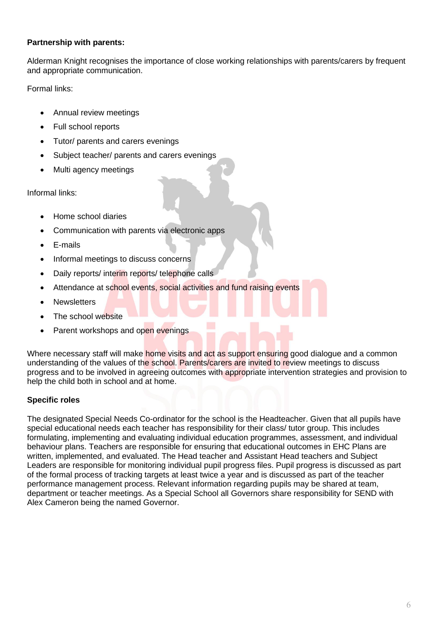## **Partnership with parents:**

Alderman Knight recognises the importance of close working relationships with parents/carers by frequent and appropriate communication.

Formal links:

- Annual review meetings
- Full school reports
- Tutor/ parents and carers evenings
- Subject teacher/ parents and carers evenings
- Multi agency meetings

Informal links:

- Home school diaries
- Communication with parents via electronic apps
- E-mails
- Informal meetings to discuss concerns
- Daily reports/ interim reports/ telephone calls
- Attendance at school events, social activities and fund raising events
- Newsletters
- The school website
- Parent workshops and open evenings

Where necessary staff will make home visits and act as support ensuring good dialogue and a common understanding of the values of the school. Parents/carers are invited to review meetings to discuss progress and to be involved in agreeing outcomes with appropriate intervention strategies and provision to help the child both in school and at home.

## **Specific roles**

The designated Special Needs Co-ordinator for the school is the Headteacher. Given that all pupils have special educational needs each teacher has responsibility for their class/ tutor group. This includes formulating, implementing and evaluating individual education programmes, assessment, and individual behaviour plans. Teachers are responsible for ensuring that educational outcomes in EHC Plans are written, implemented, and evaluated. The Head teacher and Assistant Head teachers and Subject Leaders are responsible for monitoring individual pupil progress files. Pupil progress is discussed as part of the formal process of tracking targets at least twice a year and is discussed as part of the teacher performance management process. Relevant information regarding pupils may be shared at team, department or teacher meetings. As a Special School all Governors share responsibility for SEND with Alex Cameron being the named Governor.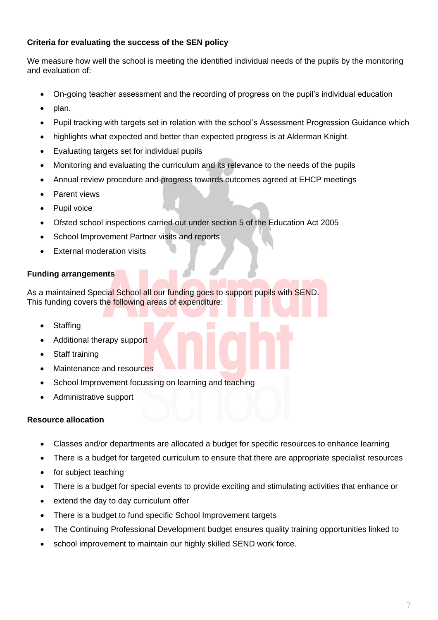## **Criteria for evaluating the success of the SEN policy**

We measure how well the school is meeting the identified individual needs of the pupils by the monitoring and evaluation of:

- On-going teacher assessment and the recording of progress on the pupil's individual education
- plan.
- Pupil tracking with targets set in relation with the school's Assessment Progression Guidance which
- highlights what expected and better than expected progress is at Alderman Knight.
- Evaluating targets set for individual pupils
- Monitoring and evaluating the curriculum and its relevance to the needs of the pupils
- Annual review procedure and progress towards outcomes agreed at EHCP meetings
- Parent views
- Pupil voice
- Ofsted school inspections carried out under section 5 of the Education Act 2005
- School Improvement Partner visits and reports
- **External moderation visits**

## **Funding arrangements**

As a maintained Special School all our funding goes to support pupils with SEND. This funding covers the following areas of expenditure:

- **Staffing**
- Additional therapy support
- Staff training
- Maintenance and resources
- School Improvement focussing on learning and teaching
- Administrative support

## **Resource allocation**

- Classes and/or departments are allocated a budget for specific resources to enhance learning
- There is a budget for targeted curriculum to ensure that there are appropriate specialist resources
- for subject teaching
- There is a budget for special events to provide exciting and stimulating activities that enhance or
- extend the day to day curriculum offer
- There is a budget to fund specific School Improvement targets
- The Continuing Professional Development budget ensures quality training opportunities linked to
- school improvement to maintain our highly skilled SEND work force.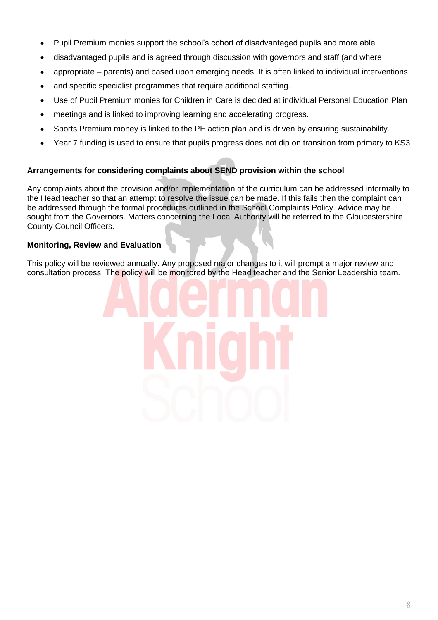- Pupil Premium monies support the school's cohort of disadvantaged pupils and more able
- disadvantaged pupils and is agreed through discussion with governors and staff (and where
- appropriate parents) and based upon emerging needs. It is often linked to individual interventions
- and specific specialist programmes that require additional staffing.
- Use of Pupil Premium monies for Children in Care is decided at individual Personal Education Plan
- meetings and is linked to improving learning and accelerating progress.
- Sports Premium money is linked to the PE action plan and is driven by ensuring sustainability.
- Year 7 funding is used to ensure that pupils progress does not dip on transition from primary to KS3

## **Arrangements for considering complaints about SEND provision within the school**

Any complaints about the provision and/or implementation of the curriculum can be addressed informally to the Head teacher so that an attempt to resolve the issue can be made. If this fails then the complaint can be addressed through the formal procedures outlined in the School Complaints Policy. Advice may be sought from the Governors. Matters concerning the Local Authority will be referred to the Gloucestershire County Council Officers.

## **Monitoring, Review and Evaluation**

This policy will be reviewed annually. Any proposed major changes to it will prompt a major review and consultation process. The policy will be monitored by the Head teacher and the Senior Leadership team.